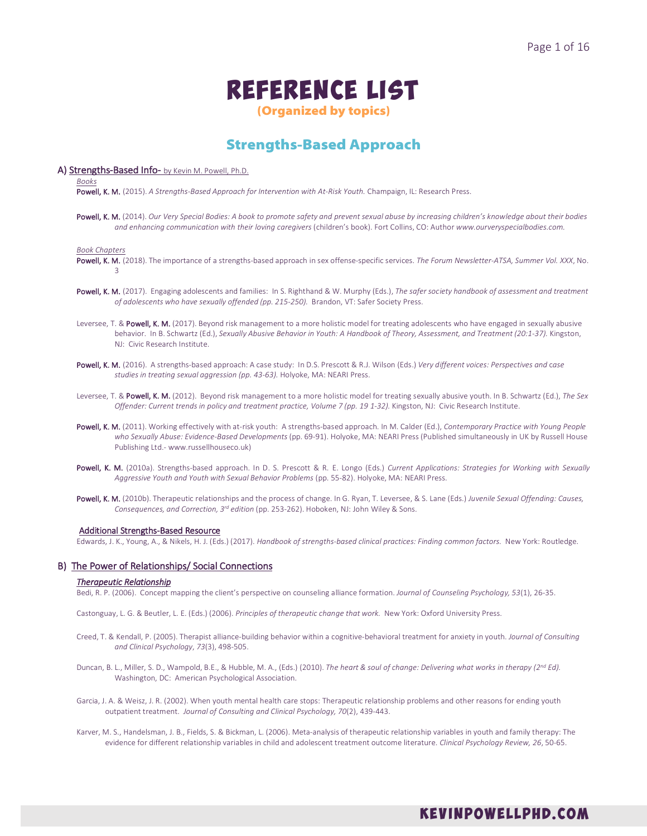# Reference List

(Organized by topics)

# Strengths-Based Approach

# A) Strengths-Based Info- by Kevin M. Powell, Ph.D.

*Books*

Powell, K. M. (2015). *A Strengths-Based Approach for Intervention with At-Risk Youth.* Champaign, IL: Research Press.

Powell, K. M. (2014). *Our Very Special Bodies: A book to promote safety and prevent sexual abuse by increasing children's knowledge about their bodies and enhancing communication with their loving caregivers* (children's book). Fort Collins, CO: Author *www.ourveryspecialbodies.com.*

#### *Book Chapters*

- Powell, K. M. (2018). The importance of a strengths-based approach in sex offense-specific services. *The Forum Newsletter-ATSA, Summer Vol. XXX*, No. 3
- Powell, K. M. (2017). Engaging adolescents and families: In S. Righthand & W. Murphy (Eds.), *The safer society handbook of assessment and treatment of adolescents who have sexually offended (pp. 215-250).* Brandon, VT: Safer Society Press.
- Leversee, T. & Powell, K. M. (2017). Beyond risk management to a more holistic model for treating adolescents who have engaged in sexually abusive behavior. In B. Schwartz (Ed.), *Sexually Abusive Behavior in Youth: A Handbook of Theory, Assessment, and Treatment (20:1-37).* Kingston, NJ: Civic Research Institute.
- Powell, K. M. (2016). A strengths-based approach: A case study: In D.S. Prescott & R.J. Wilson (Eds.) *Very different voices: Perspectives and* c*ase studies in treating sexual aggression (pp. 43-63).* Holyoke, MA: NEARI Press.
- Leversee, T. & Powell, K. M. (2012). Beyond risk management to a more holistic model for treating sexually abusive youth. In B. Schwartz (Ed.), *The Sex Offender: Current trends in policy and treatment practice, Volume 7 (pp. 19 1-32).* Kingston, NJ: Civic Research Institute.
- Powell, K. M. (2011). Working effectively with at-risk youth: A strengths-based approach. In M. Calder (Ed.), *Contemporary Practice with Young People*  who Sexually Abuse: Evidence-Based Developments (pp. 69-91). Holyoke, MA: NEARI Press (Published simultaneously in UK by Russell House Publishing Ltd.- www.russellhouseco.uk)
- Powell, K. M. (2010a). Strengths-based approach. In D. S. Prescott & R. E. Longo (Eds.) *Current Applications: Strategies for Working with Sexually Aggressive Youth and Youth with Sexual Behavior Problems* (pp. 55-82). Holyoke, MA: NEARI Press.
- Powell, K. M. (2010b). Therapeutic relationships and the process of change. In G. Ryan, T. Leversee, & S. Lane (Eds.) *Juvenile Sexual Offending: Causes, Consequences, and Correction, 3rd edition* (pp. 253-262). Hoboken, NJ: John Wiley & Sons.

# Additional Strengths-Based Resource

Edwards, J. K., Young, A., & Nikels, H. J. (Eds.) (2017). *Handbook of strengths-based clinical practices: Finding common factors.* New York: Routledge.

# B) The Power of Relationships/ Social Connections

# *Therapeutic Relationship*

Bedi, R. P. (2006). Concept mapping the client's perspective on counseling alliance formation. *Journal of Counseling Psychology, 53*(1), 26-35.

Castonguay, L. G. & Beutler, L. E. (Eds.) (2006). *Principles of therapeutic change that work.* New York: Oxford University Press.

- Creed, T. & Kendall, P. (2005). Therapist alliance-building behavior within a cognitive-behavioral treatment for anxiety in youth. *Journal of Consulting and Clinical Psychology*, *73*(3), 498-505.
- Duncan, B. L., Miller, S. D., Wampold, B.E., & Hubble, M. A., (Eds.) (2010). *The heart & soul of change: Delivering what works in therapy (2nd Ed).* Washington, DC: American Psychological Association.
- Garcia, J. A. & Weisz, J. R. (2002). When youth mental health care stops: Therapeutic relationship problems and other reasons for ending youth outpatient treatment. *Journal of Consulting and Clinical Psychology, 70*(2), 439-443.
- Karver, M. S., Handelsman, J. B., Fields, S. & Bickman, L. (2006). Meta-analysis of therapeutic relationship variables in youth and family therapy: The evidence for different relationship variables in child and adolescent treatment outcome literature. *Clinical Psychology Review, 26*, 50-65.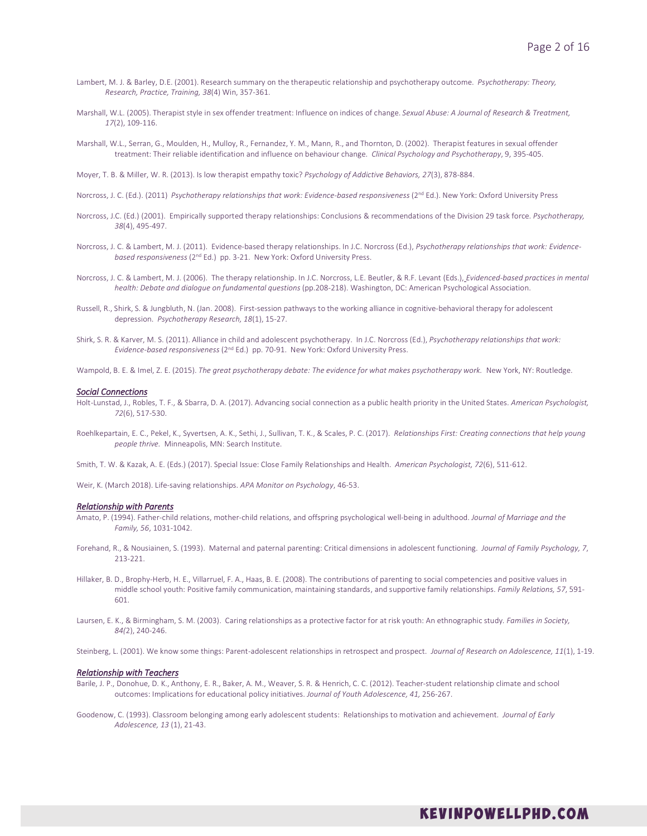- Lambert, M. J. & Barley, D.E. (2001). Research summary on the therapeutic relationship and psychotherapy outcome. *Psychotherapy: Theory, Research, Practice, Training, 38*(4) Win, 357-361.
- Marshall, W.L. (2005). Therapist style in sex offender treatment: Influence on indices of change. *Sexual Abuse: A Journal of Research & Treatment, 17*(2), 109-116.
- Marshall, W.L., Serran, G., Moulden, H., Mulloy, R., Fernandez, Y. M., Mann, R., and Thornton, D. (2002). Therapist features in sexual offender treatment: Their reliable identification and influence on behaviour change. *Clinical Psychology and Psychotherapy*, 9, 395-405.

Moyer, T. B. & Miller, W. R. (2013). Is low therapist empathy toxic? *Psychology of Addictive Behaviors, 27*(3), 878-884.

- Norcross, J. C. (Ed.). (2011) *Psychotherapy relationships that work: Evidence-based responsiveness* (2<sup>nd</sup> Ed.). New York: Oxford University Press
- Norcross, J.C. (Ed.) (2001). Empirically supported therapy relationships: Conclusions & recommendations of the Division 29 task force. *Psychotherapy, 38*(4), 495-497.
- Norcross, J. C. & Lambert, M. J. (2011). Evidence-based therapy relationships. In J.C. Norcross (Ed.), *Psychotherapy relationships that work: Evidencebased responsiveness* (2nd Ed.) pp. 3-21. New York: Oxford University Press.
- Norcross, J. C. & Lambert, M. J. (2006). The therapy relationship. In J.C. Norcross, L.E. Beutler, & R.F. Levant (Eds.), *Evidenced-based practices in mental health: Debate and dialogue on fundamental questions* (pp.208-218). Washington, DC: American Psychological Association.
- Russell, R., Shirk, S. & Jungbluth, N. (Jan. 2008). First-session pathways to the working alliance in cognitive-behavioral therapy for adolescent depression. *Psychotherapy Research, 18*(1), 15-27.
- Shirk, S. R. & Karver, M. S. (2011). Alliance in child and adolescent psychotherapy. In J.C. Norcross (Ed.), *Psychotherapy relationships that work: Evidence-based responsiveness* (2nd Ed.) pp. 70-91. New York: Oxford University Press.
- Wampold, B. E. & Imel, Z. E. (2015). The great psychotherapy debate: The evidence for what makes psychotherapy work. New York, NY: Routledge.

#### *Social Connections*

- Holt-Lunstad, J., Robles, T. F., & Sbarra, D. A. (2017). Advancing social connection as a public health priority in the United States. *American Psychologist, 72*(6), 517-530.
- Roehlkepartain, E. C., Pekel, K., Syvertsen, A. K., Sethi, J., Sullivan, T. K., & Scales, P. C. (2017). *Relationships First: Creating connections that help young people thrive.* Minneapolis, MN: Search Institute.
- Smith, T. W. & Kazak, A. E. (Eds.) (2017). Special Issue: Close Family Relationships and Health. *American Psychologist, 72*(6), 511-612.
- Weir, K. (March 2018). Life-saving relationships. *APA Monitor on Psychology*, 46-53.

#### *Relationship with Parents*

- Amato, P. (1994). Father-child relations, mother-child relations, and offspring psychological well-being in adulthood. *Journal of Marriage and the Family, 56*, 1031-1042.
- Forehand, R., & Nousiainen, S. (1993). Maternal and paternal parenting: Critical dimensions in adolescent functioning. *Journal of Family Psychology, 7*, 213-221.
- Hillaker, B. D., Brophy-Herb, H. E., Villarruel, F. A., Haas, B. E. (2008). The contributions of parenting to social competencies and positive values in middle school youth: Positive family communication, maintaining standards, and supportive family relationships. *Family Relations, 57*, 591- 601.
- Laursen, E. K., & Birmingham, S. M. (2003). Caring relationships as a protective factor for at risk youth: An ethnographic study*. Families in Society, 84(*2), 240-246.
- Steinberg, L. (2001). We know some things: Parent-adolescent relationships in retrospect and prospect. *Journal of Research on Adolescence, 11*(1), 1-19.

#### *Relationship with Teachers*

- Barile, J. P., Donohue, D. K., Anthony, E. R., Baker, A. M., Weaver, S. R. & Henrich, C. C. (2012). Teacher-student relationship climate and school outcomes: Implications for educational policy initiatives. *Journal of Youth Adolescence, 41,* 256-267.
- Goodenow, C. (1993). Classroom belonging among early adolescent students: Relationships to motivation and achievement. *Journal of Early Adolescence, 13* (1), 21-43.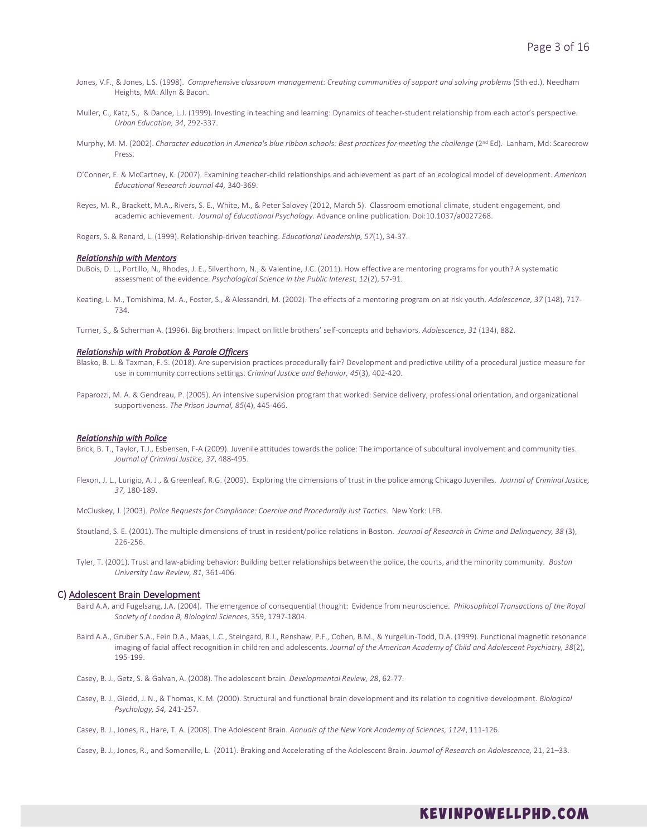- Jones, V.F., & Jones, L.S. (1998). *Comprehensive classroom management: Creating communities of support and solving problems* (5th ed.). Needham Heights, MA: Allyn & Bacon.
- Muller, C., Katz, S., & Dance, L.J. (1999). Investing in teaching and learning: Dynamics of teacher-student relationship from each actor's perspective. *Urban Education, 34*, 292-337.
- Murphy, M. M. (2002). *Character education in America's blue ribbon schools: Best practices for meeting the challenge* (2<sup>nd</sup> Ed). Lanham, Md: Scarecrow Press.
- O'Conner, E. & McCartney, K. (2007). Examining teacher-child relationships and achievement as part of an ecological model of development. *American Educational Research Journal 44,* 340-369.
- Reyes, M. R., Brackett, M.A., Rivers, S. E., White, M., & Peter Salovey (2012, March 5). Classroom emotional climate, student engagement, and academic achievement. *Journal of Educational Psychology*. Advance online publication. Doi:10.1037/a0027268.
- Rogers, S. & Renard, L. (1999). Relationship-driven teaching. *Educational Leadership, 57*(1), 34-37.

#### *Relationship with Mentors*

- DuBois, D. L., Portillo, N., Rhodes, J. E., Silverthorn, N., & Valentine, J.C. (2011). How effective are mentoring programs for youth? A systematic assessment of the evidence. *Psychological Science in the Public Interest, 12*(2), 57-91.
- Keating, L. M., Tomishima, M. A., Foster, S., & Alessandri, M. (2002). The effects of a mentoring program on at risk youth. *Adolescence, 37* (148), 717- 734.
- Turner, S., & Scherman A. (1996). Big brothers: Impact on little brothers' self-concepts and behaviors. *Adolescence, 31* (134), 882.

## *Relationship with Probation & Parole Officers*

- Blasko, B. L. & Taxman, F. S. (2018). Are supervision practices procedurally fair? Development and predictive utility of a procedural justice measure for use in community corrections settings. *Criminal Justice and Behavior, 45*(3), 402-420.
- Paparozzi, M. A. & Gendreau, P. (2005). An intensive supervision program that worked: Service delivery, professional orientation, and organizational supportiveness. *The Prison Journal, 85*(4), 445-466.

## *Relationship with Police*

- Brick, B. T., Taylor, T.J., Esbensen, F-A (2009). Juvenile attitudes towards the police: The importance of subcultural involvement and community ties. *Journal of Criminal Justice, 37*, 488-495.
- Flexon, J. L., Lurigio, A. J., & Greenleaf, R.G. (2009). Exploring the dimensions of trust in the police among Chicago Juveniles. *Journal of Criminal Justice, 37*, 180-189.

McCluskey, J. (2003). *Police Requests for Compliance: Coercive and Procedurally Just Tactics*. New York: LFB.

- Stoutland, S. E. (2001). The multiple dimensions of trust in resident/police relations in Boston. *Journal of Research in Crime and Delinquency, 38* (3), 226-256.
- Tyler, T. (2001). Trust and law-abiding behavior: Building better relationships between the police, the courts, and the minority community. *Boston University Law Review, 81*, 361-406.

# C) Adolescent Brain Development

- Baird A.A. and Fugelsang, J.A. (2004). The emergence of consequential thought: Evidence from neuroscience. *Philosophical Transactions of the Royal Society of London B, Biological Sciences*, 359, 1797-1804.
- Baird A.A., Gruber S.A., Fein D.A., Maas, L.C., Steingard, R.J., Renshaw, P.F., Cohen, B.M., & Yurgelun-Todd, D.A. (1999). Functional magnetic resonance imaging of facial affect recognition in children and adolescents. *Journal of the American Academy of Child and Adolescent Psychiatry, 38*(2), 195-199.
- Casey, B. J., Getz, S. & Galvan, A. (2008). The adolescent brain*. Developmental Review, 28*, 62-77.
- Casey, B. J., Giedd, J. N., & Thomas, K. M. (2000). Structural and functional brain development and its relation to cognitive development. *Biological Psychology, 54,* 241-257.
- Casey, B. J., Jones, R., Hare, T. A. (2008). The Adolescent Brain. *Annuals of the New York Academy of Sciences, 1124*, 111-126.
- Casey, B. J., Jones, R., and Somerville, L. (2011). Braking and Accelerating of the Adolescent Brain. *Journal of Research on Adolescence,* 21, 21–33.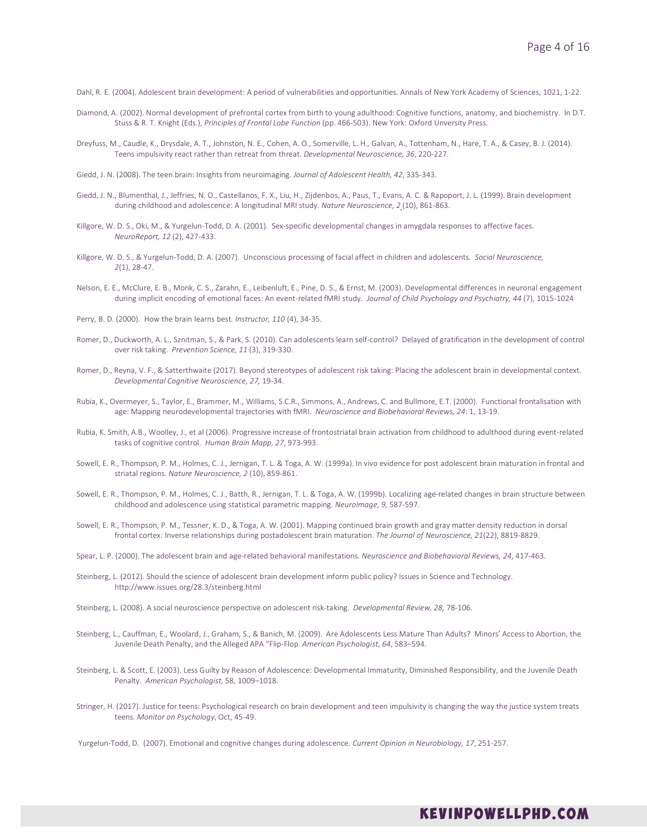Dahl, R. E. (2004). Adolescent brain development: A period of vulnerabilities and opportunities. Annals of New York Academy of Sciences, 1021, 1-22.

- Diamond, A. (2002). Normal development of prefrontal cortex from birth to young adulthood: Cognitive functions, anatomy, and biochemistry. In D.T. Stuss & R. T. Knight (Eds.), *Principles of Frontal Lobe Function* (pp. 466-503). New York: Oxford Unversity Press.
- Dreyfuss, M., Caudle, K., Drysdale, A. T., Johnston, N. E., Cohen, A. O., Somerville, L. H., Galvan, A., Tottenham, N., Hare, T. A., & Casey, B. J. (2014). Teens impulsivity react rather than retreat from threat. *Developmental Neuroscience, 36*, 220-227.
- Giedd, J. N. (2008). The teen brain: Insights from neuroimaging. *Journal of Adolescent Health, 42*, 335-343.
- Giedd, J. N., Blumenthal, J., Jeffries, N. O., Castellanos, F. X., Liu, H., Zijdenbos, A., Paus, T., Evans, A. C. & Rapoport, J. L. (1999). Brain development during childhood and adolescence: A longitudinal MRI study*. Nature Neuroscience, 2* (10), 861-863.
- Killgore, W. D. S., Oki, M., & Yurgelun-Todd, D. A. (2001). Sex-specific developmental changes in amygdala responses to affective faces. *NeuroReport, 12* (2), 427-433.
- Killgore, W. D. S., & Yurgelun-Todd, D. A. (2007). Unconscious processing of facial affect in children and adolescents*. Social Neuroscience, 2*(1), 28-47.
- Nelson, E. E., McClure, E. B., Monk, C. S., Zarahn, E., Leibenluft, E., Pine, D. S., & Ernst, M. (2003). Developmental differences in neuronal engagement during implicit encoding of emotional faces: An event-related fMRI study. *Journal of Child Psychology and Psychiatry, 44* (7), 1015-1024
- Perry, B. D. (2000). How the brain learns best*. Instructor, 110* (4), 34-35.
- Romer, D., Duckworth, A. L., Sznitman, S., & Park, S. (2010). Can adolescents learn self-control? Delayed of gratification in the development of control over risk taking. *Prevention Science, 11* (3), 319-330.
- Romer, D., Reyna, V. F., & Satterthwaite (2017). Beyond stereotypes of adolescent risk taking: Placing the adolescent brain in developmental context. *Developmental Cognitive Neuroscience, 27,* 19-34.
- Rubia, K., Overmeyer, S., Taylor, E., Brammer, M., Williams, S.C.R., Simmons, A., Andrews, C. and Bullmore, E.T. (2000). Functional frontalisation with age: Mapping neurodevelopmental trajectories with fMRI. *Neuroscience and Biobehavioral Reviews, 24*: 1, 13-19.
- Rubia, K. Smith, A.B., Woolley, J., et al (2006). Progressive increase of frontostriatal brain activation from childhood to adulthood during event-related tasks of cognitive control. *Human Brain Mapp, 27*, 973-993.
- Sowell, E. R., Thompson, P. M., Holmes, C. J., Jernigan, T. L. & Toga, A. W. (1999a). In vivo evidence for post adolescent brain maturation in frontal and striatal regions. *Nature Neuroscience, 2* (10), 859-861.
- Sowell, E. R., Thompson, P. M., Holmes, C. J., Batth, R., Jernigan, T. L. & Toga, A. W. (1999b). Localizing age-related changes in brain structure between childhood and adolescence using statistical parametric mapping. *NeuroImage, 9,* 587-597.
- Sowell, E. R., Thompson, P. M., Tessner, K. D., & Toga, A. W. (2001). Mapping continued brain growth and gray matter density reduction in dorsal frontal cortex: Inverse relationships during postadolescent brain maturation. *The Journal of Neuroscience, 21*(22), 8819-8829.
- Spear, L. P. (2000). The adolescent brain and age-related behavioral manifestations*. Neuroscience and Biobehavioral Reviews, 24*, 417-463.
- Steinberg, L. (2012). Should the science of adolescent brain development inform public policy? Issues in Science and Technology. http://www.issues.org/28.3/steinberg.html
- Steinberg, L. (2008). A social neuroscience perspective on adolescent risk-taking. *Developmental Review, 28,* 78-106.
- Steinberg, L., Cauffman, E., Woolard, J., Graham, S., & Banich, M. (2009). Are Adolescents Less Mature Than Adults? Minors' Access to Abortion, the Juvenile Death Penalty, and the Alleged APA "Flip-Flop. *American Psychologist, 64*, 583–594.
- Steinberg, L. & Scott, E. (2003). Less Guilty by Reason of Adolescence: Developmental Immaturity, Diminished Responsibility, and the Juvenile Death Penalty. *American Psychologist,* 58, 1009–1018.
- Stringer, H. (2017). Justice for teens: Psychological research on brain development and teen impulsivity is changing the way the justice system treats teens. *Monitor on Psychology*, Oct, 45-49.

Yurgelun-Todd, D. (2007). Emotional and cognitive changes during adolescence. *Current Opinion in Neurobiology, 17*, 251-257.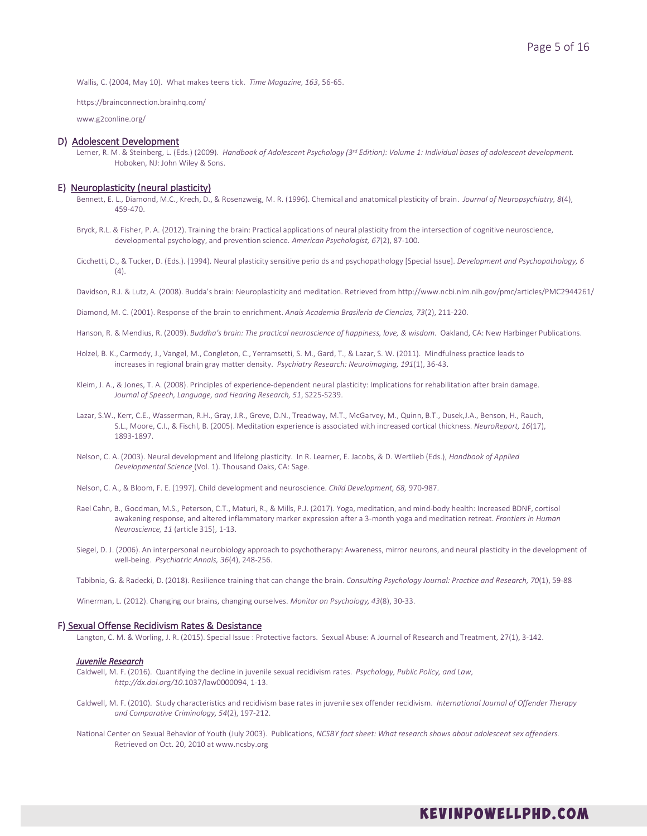Wallis, C. (2004, May 10). What makes teens tick. *Time Magazine, 163*, 56-65.

https://brainconnection.brainhq.com/

www.g2conline.org/

#### D) Adolescent Development

Lerner, R. M. & Steinberg, L. (Eds.) (2009). *Handbook of Adolescent Psychology (3rd Edition): Volume 1: Individual bases of adolescent development.* Hoboken, NJ: John Wiley & Sons.

# E) Neuroplasticity (neural plasticity)

- Bennett, E. L., Diamond, M.C., Krech, D., & Rosenzweig, M. R. (1996). Chemical and anatomical plasticity of brain. *Journal of Neuropsychiatry, 8*(4), 459-470.
- Bryck, R.L. & Fisher, P. A. (2012). Training the brain: Practical applications of neural plasticity from the intersection of cognitive neuroscience, developmental psychology, and prevention science. *American Psychologist, 67*(2), 87-100.
- Cicchetti, D., & Tucker, D. (Eds.). (1994). Neural plasticity sensitive perio ds and psychopathology [Special Issue]. *Development and Psychopathology, 6*  $(4)$
- Davidson, R.J. & Lutz, A. (2008). Budda's brain: Neuroplasticity and meditation. Retrieved from http://www.ncbi.nlm.nih.gov/pmc/articles/PMC2944261/

Diamond, M. C. (2001). Response of the brain to enrichment. *Anais Academia Brasileria de Ciencias, 73*(2), 211-220.

- Hanson, R. & Mendius, R. (2009). *Buddha's brain: The practical neuroscience of happiness, love, & wisdom.* Oakland, CA: New Harbinger Publications.
- Holzel, B. K., Carmody, J., Vangel, M., Congleton, C., Yerramsetti, S. M., Gard, T., & Lazar, S. W. (2011). Mindfulness practice leads to increases in regional brain gray matter density. *Psychiatry Research: Neuroimaging, 191*(1), 36-43.
- Kleim, J. A., & Jones, T. A. (2008). Principles of experience-dependent neural plasticity: Implications for rehabilitation after brain damage. *Journal of Speech, Language, and Hearing Research, 51*, S225-S239.
- Lazar, S.W., Kerr, C.E., Wasserman, R.H., Gray, J.R., Greve, D.N., Treadway, M.T., McGarvey, M., Quinn, B.T., Dusek,J.A., Benson, H., Rauch, S.L., Moore, C.I., & Fischl, B. (2005). Meditation experience is associated with increased cortical thickness. *NeuroReport, 16*(17), 1893-1897.
- Nelson, C. A. (2003). Neural development and lifelong plasticity. In R. Learner, E. Jacobs, & D. Wertlieb (Eds.), *Handbook of Applied Developmental Science* (Vol. 1). Thousand Oaks, CA: Sage.
- Nelson, C. A., & Bloom, F. E. (1997). Child development and neuroscience. *Child Development, 68,* 970-987.
- Rael Cahn, B., Goodman, M.S., Peterson, C.T., Maturi, R., & Mills, P.J. (2017). Yoga, meditation, and mind-body health: Increased BDNF, cortisol awakening response, and altered inflammatory marker expression after a 3-month yoga and meditation retreat. *Frontiers in Human Neuroscience, 11* (article 315), 1-13.
- Siegel, D. J. (2006). An interpersonal neurobiology approach to psychotherapy: Awareness, mirror neurons, and neural plasticity in the development of well-being. *Psychiatric Annals, 36*(4), 248-256.

Tabibnia, G. & Radecki, D. (2018). Resilience training that can change the brain. *Consulting Psychology Journal: Practice and Research, 70*(1), 59-88

Winerman, L. (2012). Changing our brains, changing ourselves. *Monitor on Psychology, 43*(8), 30-33.

# F) Sexual Offense Recidivism Rates & Desistance

Langton, C. M. & Worling, J. R. (2015). Special Issue : Protective factors. Sexual Abuse: A Journal of Research and Treatment, 27(1), 3-142.

#### *Juvenile Research*

Caldwell, M. F. (2016). Quantifying the decline in juvenile sexual recidivism rates. *Psychology, Public Policy, and Law, http://dx.doi.org/10*.1037/law0000094, 1-13.

- Caldwell, M. F. (2010). Study characteristics and recidivism base rates in juvenile sex offender recidivism. *International Journal of Offender Therapy and Comparative Criminology, 54*(2), 197-212.
- National Center on Sexual Behavior of Youth (July 2003). Publications, *NCSBY fact sheet: What research shows about adolescent sex offenders.*  Retrieved on Oct. 20, 2010 at www.ncsby.org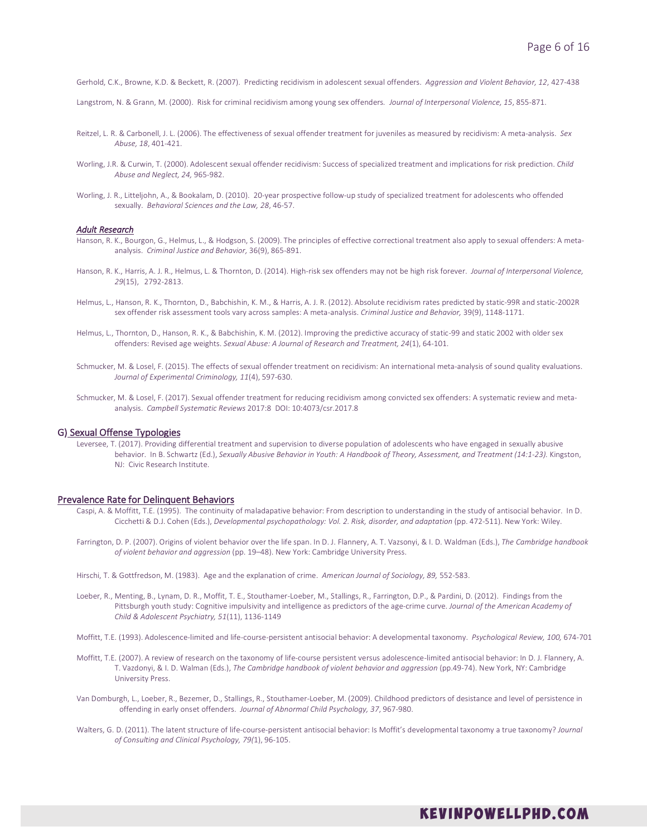Gerhold, C.K., Browne, K.D. & Beckett, R. (2007). Predicting recidivism in adolescent sexual offenders. *Aggression and Violent Behavior, 12*, 427-438

Langstrom, N. & Grann, M. (2000). Risk for criminal recidivism among young sex offenders*. Journal of Interpersonal Violence, 15*, 855-871.

- Reitzel, L. R. & Carbonell, J. L. (2006). The effectiveness of sexual offender treatment for juveniles as measured by recidivism: A meta-analysis. *Sex Abuse, 18*, 401-421.
- Worling, J.R. & Curwin, T. (2000). Adolescent sexual offender recidivism: Success of specialized treatment and implications for risk prediction. *Child Abuse and Neglect, 24,* 965-982.
- Worling, J. R., Litteljohn, A., & Bookalam, D. (2010). 20-year prospective follow-up study of specialized treatment for adolescents who offended sexually. *Behavioral Sciences and the Law, 28*, 46-57.

# *Adult Research*

- Hanson, R. K., Bourgon, G., Helmus, L., & Hodgson, S. (2009). The principles of effective correctional treatment also apply to sexual offenders: A metaanalysis. *Criminal Justice and Behavior,* 36(9), 865-891.
- Hanson, R. K., Harris, A. J. R., Helmus, L. & Thornton, D. (2014). High-risk sex offenders may not be high risk forever. *Journal of Interpersonal Violence, 29*(15), 2792-2813.
- Helmus, L., Hanson, R. K., Thornton, D., Babchishin, K. M., & Harris, A. J. R. (2012). Absolute recidivism rates predicted by static-99R and static-2002R sex offender risk assessment tools vary across samples: A meta-analysis. *Criminal Justice and Behavior,* 39(9), 1148-1171.
- Helmus, L., Thornton, D., Hanson, R. K., & Babchishin, K. M. (2012). Improving the predictive accuracy of static-99 and static 2002 with older sex offenders: Revised age weights. *Sexual Abuse: A Journal of Research and Treatment, 24*(1), 64-101.
- Schmucker, M. & Losel, F. (2015). The effects of sexual offender treatment on recidivism: An international meta-analysis of sound quality evaluations. *Journal of Experimental Criminology, 11*(4), 597-630.
- Schmucker, M. & Losel, F. (2017). Sexual offender treatment for reducing recidivism among convicted sex offenders: A systematic review and metaanalysis. *Campbell Systematic Reviews* 2017:8 DOI: 10:4073/csr.2017.8

# G) Sexual Offense Typologies

Leversee, T. (2017). Providing differential treatment and supervision to diverse population of adolescents who have engaged in sexually abusive behavior. In B. Schwartz (Ed.), *Sexually Abusive Behavior in Youth: A Handbook of Theory, Assessment, and Treatment (14:1-23).* Kingston, NJ: Civic Research Institute.

# Prevalence Rate for Delinquent Behaviors

- Caspi, A. & Moffitt, T.E. (1995). The continuity of maladapative behavior: From description to understanding in the study of antisocial behavior. In D. Cicchetti & D.J. Cohen (Eds.), *Developmental psychopathology: Vol. 2. Risk, disorder, and adaptation* (pp. 472-511). New York: Wiley.
- Farrington, D. P. (2007). Origins of violent behavior over the life span. In D. J. Flannery, A. T. Vazsonyi, & I. D. Waldman (Eds.), *The Cambridge handbook of violent behavior and aggression* (pp. 19–48). New York: Cambridge University Press.
- Hirschi, T. & Gottfredson, M. (1983). Age and the explanation of crime. *American Journal of Sociology, 89,* 552-583.
- Loeber, R., Menting, B., Lynam, D. R., Moffit, T. E., Stouthamer-Loeber, M., Stallings, R., Farrington, D.P., & Pardini, D. (2012). Findings from the Pittsburgh youth study: Cognitive impulsivity and intelligence as predictors of the age-crime curve. *Journal of the American Academy of Child & Adolescent Psychiatry, 51*(11), 1136-1149
- Moffitt, T.E. (1993). Adolescence-limited and life-course-persistent antisocial behavior: A developmental taxonomy. *Psychological Review, 100,* 674-701
- Moffitt, T.E. (2007). A review of research on the taxonomy of life-course persistent versus adolescence-limited antisocial behavior: In D. J. Flannery, A. T. Vazdonyi, & I. D. Walman (Eds.), *The Cambridge handbook of violent behavior and aggression* (pp.49-74). New York, NY: Cambridge University Press.
- Van Domburgh, L., Loeber, R., Bezemer, D., Stallings, R., Stouthamer-Loeber, M. (2009). Childhood predictors of desistance and level of persistence in offending in early onset offenders. *Journal of Abnormal Child Psychology, 37*, 967-980.
- Walters, G. D. (2011). The latent structure of life-course-persistent antisocial behavior: Is Moffit's developmental taxonomy a true taxonomy? *Journal of Consulting and Clinical Psychology, 79(*1), 96-105.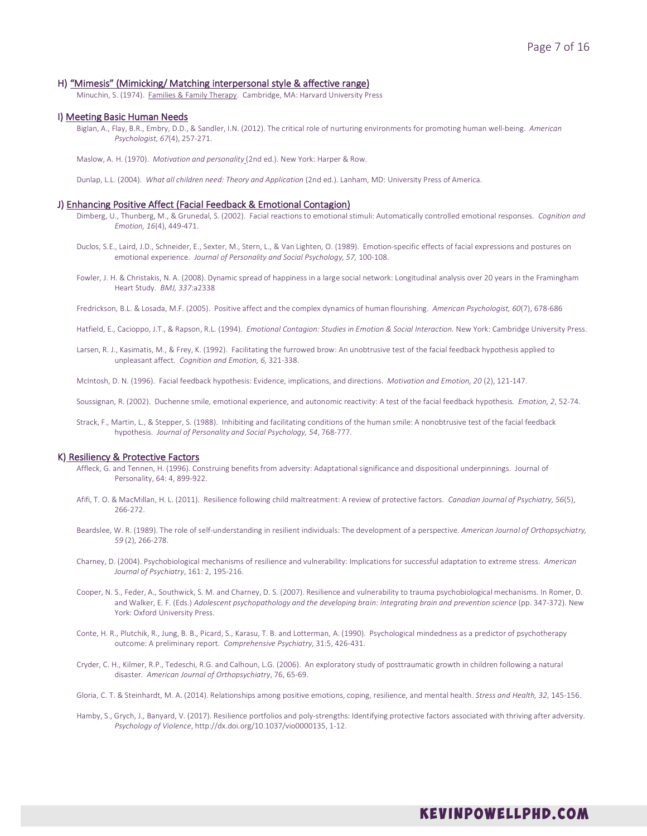# H) "Mimesis" (Mimicking/ Matching interpersonal style & affective range)

Minuchin, S. (1974). Families & Family Therapy. Cambridge, MA: Harvard University Press

# I) Meeting Basic Human Needs

Biglan, A., Flay, B.R., Embry, D.D., & Sandler, I.N. (2012). The critical role of nurturing environments for promoting human well-being. *American Psychologist, 67*(4), 257-271.

Maslow, A. H. (1970). *Motivation and personality* (2nd ed.). New York: Harper & Row.

Dunlap, L.L. (2004). *What all children need: Theory and Application* (2nd ed.). Lanham, MD: University Press of America.

#### J) Enhancing Positive Affect (Facial Feedback & Emotional Contagion)

- Dimberg, U., Thunberg, M., & Grunedal, S. (2002). Facial reactions to emotional stimuli: Automatically controlled emotional responses*. Cognition and Emotion, 16*(4), 449-471.
- Duclos, S.E., Laird, J.D., Schneider, E., Sexter, M., Stern, L., & Van Lighten, O. (1989). Emotion-specific effects of facial expressions and postures on emotional experience. *Journal of Personality and Social Psychology, 57,* 100-108.
- Fowler, J. H. & Christakis, N. A. (2008). Dynamic spread of happiness in a large social network: Longitudinal analysis over 20 years in the Framingham Heart Study. *BMJ, 337*:a2338
- Fredrickson, B.L. & Losada, M.F. (2005). Positive affect and the complex dynamics of human flourishing. *American Psychologist, 60*(7), 678-686
- Hatfield, E., Cacioppo, J.T., & Rapson, R.L. (1994). *Emotional Contagion: Studies in Emotion & Social Interaction.* New York: Cambridge University Press.
- Larsen, R. J., Kasimatis, M., & Frey, K. (1992). Facilitating the furrowed brow: An unobtrusive test of the facial feedback hypothesis applied to unpleasant affect. *Cognition and Emotion, 6,* 321-338.

McIntosh, D. N. (1996). Facial feedback hypothesis: Evidence, implications, and directions. *Motivation and Emotion, 20* (2), 121-147.

- Soussignan, R. (2002). Duchenne smile, emotional experience, and autonomic reactivity: A test of the facial feedback hypothesis*. Emotion, 2*, 52-74.
- Strack, F., Martin, L., & Stepper, S. (1988). Inhibiting and facilitating conditions of the human smile: A nonobtrusive test of the facial feedback hypothesis. *Journal of Personality and Social Psychology, 54*, 768-777.

# K) Resiliency & Protective Factors

- Affleck, G. and Tennen, H. (1996). Construing benefits from adversity: Adaptational significance and dispositional underpinnings. Journal of Personality, 64: 4, 899-922.
- Afifi, T. O. & MacMillan, H. L. (2011). Resilience following child maltreatment: A review of protective factors. *Canadian Journal of Psychiatry, 56*(5), 266-272.
- Beardslee, W. R. (1989). The role of self-understanding in resilient individuals: The development of a perspective. *American Journal of Orthopsychiatry, 59* (2), 266-278.
- Charney, D. (2004). Psychobiological mechanisms of resilience and vulnerability: Implications for successful adaptation to extreme stress. *American Journal of Psychiatry*, 161: 2, 195-216.
- Cooper, N. S., Feder, A., Southwick, S. M. and Charney, D. S. (2007). Resilience and vulnerability to trauma psychobiological mechanisms. In Romer, D. and Walker, E. F. (Eds.) *Adolescent psychopathology and the developing brain: Integrating brain and prevention science* (pp. 347-372). New York: Oxford University Press.
- Conte, H. R., Plutchik, R., Jung, B. B., Picard, S., Karasu, T. B. and Lotterman, A. (1990). Psychological mindedness as a predictor of psychotherapy outcome: A preliminary report. *Comprehensive Psychiatry*, 31:5, 426-431.
- Cryder, C. H., Kilmer, R.P., Tedeschi, R.G. and Calhoun, L.G. (2006). An exploratory study of posttraumatic growth in children following a natural disaster. *American Journal of Orthopsychiatry*, 76, 65-69.
- Gloria, C. T. & Steinhardt, M. A. (2014). Relationships among positive emotions, coping, resilience, and mental health. *Stress and Health, 32*, 145-156.
- Hamby, S., Grych, J., Banyard, V. (2017). Resilience portfolios and poly-strengths: Identifying protective factors associated with thriving after adversity. *Psychology of Violence*, http://dx.doi.org/10.1037/vio0000135, 1-12.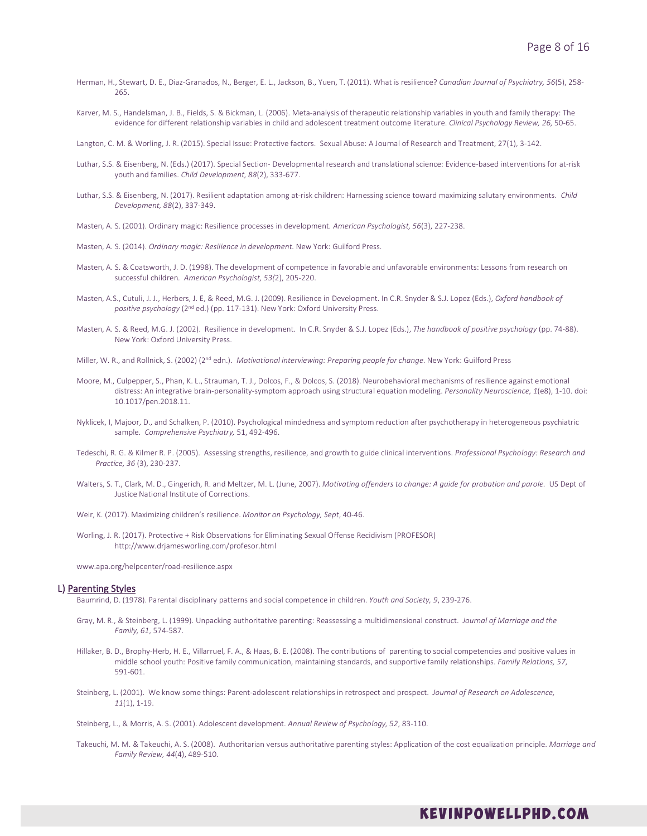- Herman, H., Stewart, D. E., Diaz-Granados, N., Berger, E. L., Jackson, B., Yuen, T. (2011). What is resilience? *Canadian Journal of Psychiatry, 56*(5), 258- 265.
- Karver, M. S., Handelsman, J. B., Fields, S. & Bickman, L. (2006). Meta-analysis of therapeutic relationship variables in youth and family therapy: The evidence for different relationship variables in child and adolescent treatment outcome literature. *Clinical Psychology Review, 26,* 50-65.

Langton, C. M. & Worling, J. R. (2015). Special Issue: Protective factors. Sexual Abuse: A Journal of Research and Treatment, 27(1), 3-142.

- Luthar, S.S. & Eisenberg, N. (Eds.) (2017). Special Section- Developmental research and translational science: Evidence-based interventions for at-risk youth and families. *Child Development, 88*(2), 333-677.
- Luthar, S.S. & Eisenberg, N. (2017). Resilient adaptation among at-risk children: Harnessing science toward maximizing salutary environments. *Child Development, 88*(2), 337-349.
- Masten, A. S. (2001). Ordinary magic: Resilience processes in development*. American Psychologist, 56*(3), 227-238.
- Masten, A. S. (2014). *Ordinary magic: Resilience in development.* New York: Guilford Press.
- Masten, A. S. & Coatsworth, J. D. (1998). The development of competence in favorable and unfavorable environments: Lessons from research on successful children*. American Psychologist, 53(*2), 205-220.
- Masten, A.S., Cutuli, J. J., Herbers, J. E, & Reed, M.G. J. (2009). Resilience in Development. In C.R. Snyder & S.J. Lopez (Eds.), *Oxford handbook of positive psychology* (2nd ed.) (pp. 117-131). New York: Oxford University Press.
- Masten, A. S. & Reed, M.G. J. (2002). Resilience in development. In C.R. Snyder & S.J. Lopez (Eds.), *The handbook of positive psychology* (pp. 74-88). New York: Oxford University Press.
- Miller, W. R., and Rollnick, S. (2002) (2nd edn.). *Motivational interviewing: Preparing people for change.* New York: Guilford Press
- Moore, M., Culpepper, S., Phan, K. L., Strauman, T. J., Dolcos, F., & Dolcos, S. (2018). Neurobehavioral mechanisms of resilience against emotional distress: An integrative brain-personality-symptom approach using structural equation modeling. *Personality Neuroscience, 1*(e8), 1-10. doi: 10.1017/pen.2018.11.
- Nyklicek, I, Majoor, D., and Schalken, P. (2010). Psychological mindedness and symptom reduction after psychotherapy in heterogeneous psychiatric sample. *Comprehensive Psychiatry,* 51, 492-496.
- Tedeschi, R. G. & Kilmer R. P. (2005). Assessing strengths, resilience, and growth to guide clinical interventions. *Professional Psychology: Research and Practice, 36* (3), 230-237.
- Walters, S. T., Clark, M. D., Gingerich, R. and Meltzer, M. L. (June, 2007). *Motivating offenders to change: A guide for probation and parole.* US Dept of Justice National Institute of Corrections.
- Weir, K. (2017). Maximizing children's resilience. *Monitor on Psychology, Sept*, 40-46.
- Worling, J. R. (2017). Protective + Risk Observations for Eliminating Sexual Offense Recidivism (PROFESOR) http://www.drjamesworling.com/profesor.html

www.apa.org/helpcenter/road-resilience.aspx

# L) Parenting Styles

Baumrind, D. (1978). Parental disciplinary patterns and social competence in children. *Youth and Society, 9*, 239-276.

- Gray, M. R., & Steinberg, L. (1999). Unpacking authoritative parenting: Reassessing a multidimensional construct. *Journal of Marriage and the Family, 61*, 574-587.
- Hillaker, B. D., Brophy-Herb, H. E., Villarruel, F. A., & Haas, B. E. (2008). The contributions of parenting to social competencies and positive values in middle school youth: Positive family communication, maintaining standards, and supportive family relationships. *Family Relations, 57*, 591-601.
- Steinberg, L. (2001). We know some things: Parent-adolescent relationships in retrospect and prospect. *Journal of Research on Adolescence, 11*(1), 1-19.

Steinberg, L., & Morris, A. S. (2001). Adolescent development. *Annual Review of Psychology, 52*, 83-110.

Takeuchi, M. M. & Takeuchi, A. S. (2008). Authoritarian versus authoritative parenting styles: Application of the cost equalization principle. *Marriage and Family Review, 44*(4), 489-510.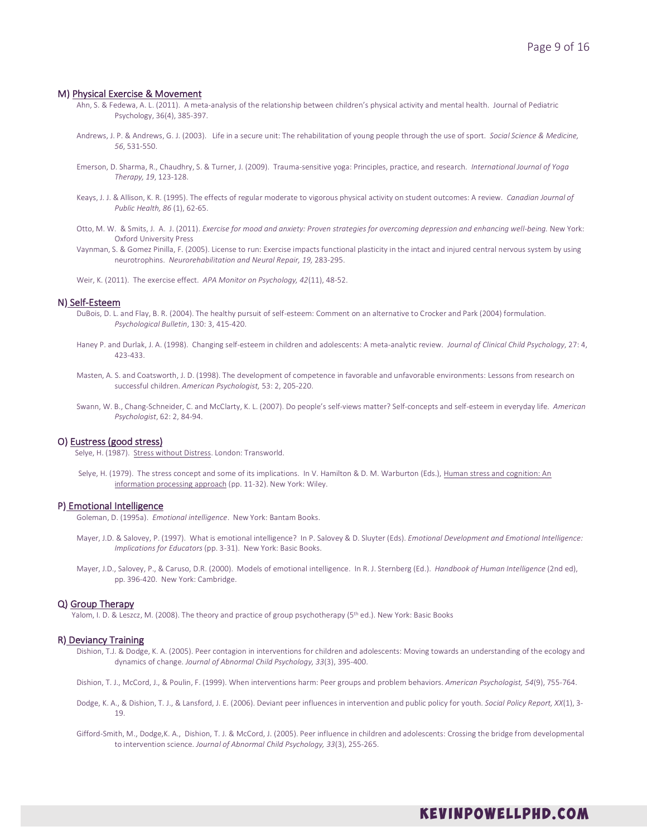#### M) Physical Exercise & Movement

- Ahn, S. & Fedewa, A. L. (2011). A meta-analysis of the relationship between children's physical activity and mental health. Journal of Pediatric Psychology, 36(4), 385-397.
- Andrews, J. P. & Andrews, G. J. (2003). Life in a secure unit: The rehabilitation of young people through the use of sport. *Social Science & Medicine, 56*, 531-550.
- Emerson, D. Sharma, R., Chaudhry, S. & Turner, J. (2009). Trauma-sensitive yoga: Principles, practice, and research. *International Journal of Yoga Therapy, 19*, 123-128.
- Keays, J. J. & Allison, K. R. (1995). The effects of regular moderate to vigorous physical activity on student outcomes: A review. *Canadian Journal of Public Health, 86* (1), 62-65.
- Otto, M. W. & Smits, J. A. J. (2011). *Exercise for mood and anxiety: Proven strategies for overcoming depression and enhancing well-being.* New York: Oxford University Press
- Vaynman, S. & Gomez Pinilla, F. (2005). License to run: Exercise impacts functional plasticity in the intact and injured central nervous system by using neurotrophins. *Neurorehabilitation and Neural Repair, 19,* 283-295.
- Weir, K. (2011). The exercise effect. *APA Monitor on Psychology, 42*(11), 48-52.

# N) Self-Esteem

- DuBois, D. L. and Flay, B. R. (2004). The healthy pursuit of self-esteem: Comment on an alternative to Crocker and Park (2004) formulation. *Psychological Bulletin*, 130: 3, 415-420.
- Haney P. and Durlak, J. A. (1998). Changing self-esteem in children and adolescents: A meta-analytic review. *Journal of Clinical Child Psychology*, 27: 4, 423-433.
- Masten, A. S. and Coatsworth, J. D. (1998). The development of competence in favorable and unfavorable environments: Lessons from research on successful children. *American Psychologist,* 53: 2, 205-220.
- Swann, W. B., Chang-Schneider, C. and McClarty, K. L. (2007). Do people's self-views matter? Self-concepts and self-esteem in everyday life. *American Psychologist*, 62: 2, 84-94.

# O) Eustress (good stress)

Selye, H. (1987). Stress without Distress. London: Transworld.

Selye, H. (1979). The stress concept and some of its implications. In V. Hamilton & D. M. Warburton (Eds.), Human stress and cognition: An information processing approach (pp. 11-32). New York: Wiley.

## P) Emotional Intelligence

Goleman, D. (1995a). *Emotional intelligence*. New York: Bantam Books.

- Mayer, J.D. & Salovey, P. (1997). What is emotional intelligence? In P. Salovey & D. Sluyter (Eds). *Emotional Development and Emotional Intelligence: Implications for Educators* (pp. 3-31). New York: Basic Books.
- Mayer, J.D., Salovey, P., & Caruso, D.R. (2000). Models of emotional intelligence. In R. J. Sternberg (Ed.). *Handbook of Human Intelligence* (2nd ed), pp. 396-420. New York: Cambridge.

# Q) Group Therapy

Yalom, I. D. & Leszcz, M. (2008). The theory and practice of group psychotherapy (5<sup>th</sup> ed.). New York: Basic Books

#### R) Deviancy Training

Dishion, T.J. & Dodge, K. A. (2005). Peer contagion in interventions for children and adolescents: Moving towards an understanding of the ecology and dynamics of change. *Journal of Abnormal Child Psychology, 33*(3), 395-400.

Dishion, T. J., McCord, J., & Poulin, F. (1999). When interventions harm: Peer groups and problem behaviors. *American Psychologist, 54*(9), 755-764.

- Dodge, K. A., & Dishion, T. J., & Lansford, J. E. (2006). Deviant peer influences in intervention and public policy for youth. *Social Policy Report, XX*(1), 3- 19.
- Gifford-Smith, M., Dodge,K. A., Dishion, T. J. & McCord, J. (2005). Peer influence in children and adolescents: Crossing the bridge from developmental to intervention science. *Journal of Abnormal Child Psychology, 33*(3), 255-265.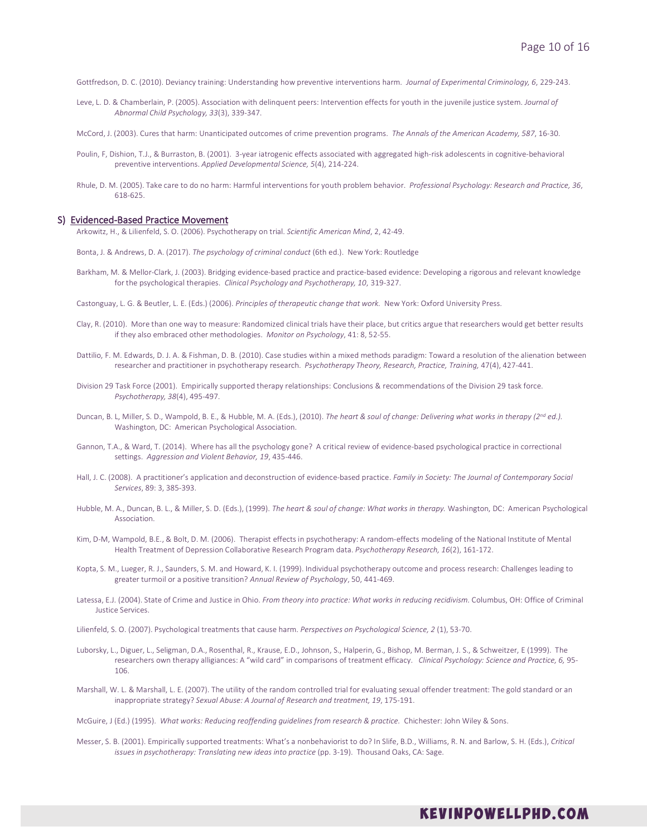Gottfredson, D. C. (2010). Deviancy training: Understanding how preventive interventions harm. *Journal of Experimental Criminology, 6*, 229-243.

Leve, L. D. & Chamberlain, P. (2005). Association with delinquent peers: Intervention effects for youth in the juvenile justice system. *Journal of Abnormal Child Psychology, 33*(3), 339-347.

McCord, J. (2003). Cures that harm: Unanticipated outcomes of crime prevention programs. *The Annals of the American Academy, 587*, 16-30.

- Poulin, F, Dishion, T.J., & Burraston, B. (2001). 3-year iatrogenic effects associated with aggregated high-risk adolescents in cognitive-behavioral preventive interventions. *Applied Developmental Science, 5*(4), 214-224.
- Rhule, D. M. (2005). Take care to do no harm: Harmful interventions for youth problem behavior. *Professional Psychology: Research and Practice, 36*, 618-625.

# S) Evidenced-Based Practice Movement

Arkowitz, H., & Lilienfeld, S. O. (2006). Psychotherapy on trial. *Scientific American Mind*, 2, 42-49.

Bonta, J. & Andrews, D. A. (2017). *The psychology of criminal conduct* (6th ed.). New York: Routledge

Barkham, M. & Mellor-Clark, J. (2003). Bridging evidence-based practice and practice-based evidence: Developing a rigorous and relevant knowledge for the psychological therapies. *Clinical Psychology and Psychotherapy, 10*, 319-327.

Castonguay, L. G. & Beutler, L. E. (Eds.) (2006). *Principles of therapeutic change that work.* New York: Oxford University Press.

- Clay, R. (2010). More than one way to measure: Randomized clinical trials have their place, but critics argue that researchers would get better results if they also embraced other methodologies. *Monitor on Psychology*, 41: 8, 52-55.
- Dattilio, F. M. Edwards, D. J. A. & Fishman, D. B. (2010). Case studies within a mixed methods paradigm: Toward a resolution of the alienation between researcher and practitioner in psychotherapy research. *Psychotherapy Theory, Research, Practice, Training,* 47(4), 427-441.
- Division 29 Task Force (2001). Empirically supported therapy relationships: Conclusions & recommendations of the Division 29 task force. *Psychotherapy, 38*(4), 495-497.
- Duncan, B. L, Miller, S. D., Wampold, B. E., & Hubble, M. A. (Eds.), (2010). *The heart & soul of change: Delivering what works in therapy (2nd ed.).* Washington, DC: American Psychological Association.
- Gannon, T.A., & Ward, T. (2014). Where has all the psychology gone? A critical review of evidence-based psychological practice in correctional settings. *Aggression and Violent Behavior, 19*, 435-446.
- Hall, J. C. (2008). A practitioner's application and deconstruction of evidence-based practice. *Family in Society: The Journal of Contemporary Social Services*, 89: 3, 385-393.
- Hubble, M. A., Duncan, B. L., & Miller, S. D. (Eds.), (1999). *The heart & soul of change: What works in therapy.* Washington, DC: American Psychological Association.
- Kim, D-M, Wampold, B.E., & Bolt, D. M. (2006). Therapist effects in psychotherapy: A random-effects modeling of the National Institute of Mental Health Treatment of Depression Collaborative Research Program data. *Psychotherapy Research, 16*(2), 161-172.
- Kopta, S. M., Lueger, R. J., Saunders, S. M. and Howard, K. I. (1999). Individual psychotherapy outcome and process research: Challenges leading to greater turmoil or a positive transition? *Annual Review of Psychology*, 50, 441-469.
- Latessa, E.J. (2004). State of Crime and Justice in Ohio. *From theory into practice: What works in reducing recidivism.* Columbus, OH: Office of Criminal Justice Services.
- Lilienfeld, S. O. (2007). Psychological treatments that cause harm. *Perspectives on Psychological Science, 2* (1), 53-70.
- Luborsky, L., Diguer, L., Seligman, D.A., Rosenthal, R., Krause, E.D., Johnson, S., Halperin, G., Bishop, M. Berman, J. S., & Schweitzer, E (1999). The researchers own therapy alligiances: A "wild card" in comparisons of treatment efficacy. *Clinical Psychology: Science and Practice, 6,* 95- 106.
- Marshall, W. L. & Marshall, L. E. (2007). The utility of the random controlled trial for evaluating sexual offender treatment: The gold standard or an inappropriate strategy? *Sexual Abuse: A Journal of Research and treatment, 19*, 175-191.

McGuire, J (Ed.) (1995). *What works: Reducing reoffending guidelines from research & practice.* Chichester: John Wiley & Sons.

Messer, S. B. (2001). Empirically supported treatments: What's a nonbehaviorist to do? In Slife, B.D., Williams, R. N. and Barlow, S. H. (Eds.), *Critical issues in psychotherapy: Translating new ideas into practice* (pp. 3-19). Thousand Oaks, CA: Sage.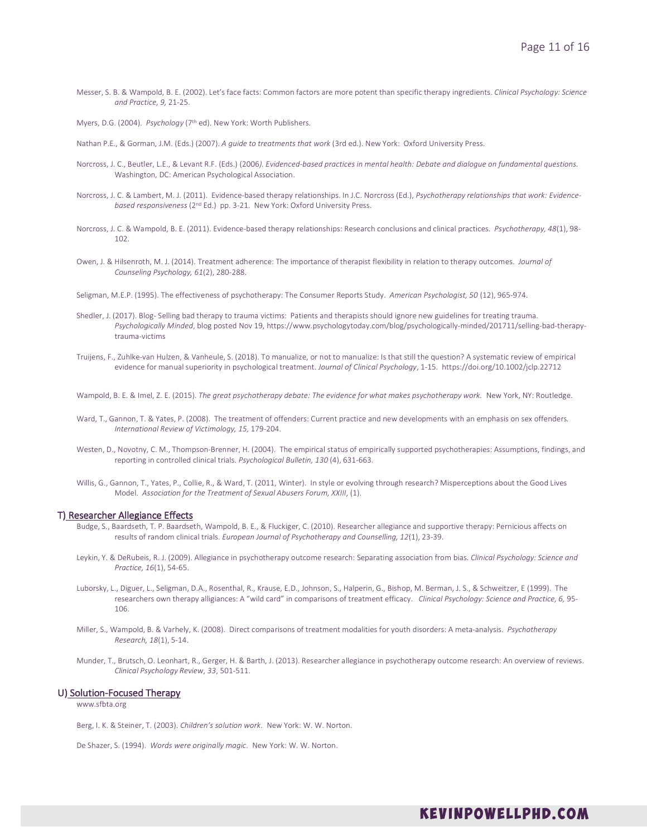Messer, S. B. & Wampold, B. E. (2002). Let's face facts: Common factors are more potent than specific therapy ingredients. *Clinical Psychology: Science and Practice, 9,* 21-25.

Myers, D.G. (2004). *Psychology* (7<sup>th</sup> ed). New York: Worth Publishers.

Nathan P.E., & Gorman, J.M. (Eds.) (2007). *A guide to treatments that work* (3rd ed.). New York: Oxford University Press.

- Norcross, J. C., Beutler, L.E., & Levant R.F. (Eds.) (2006*). Evidenced-based practices in mental health: Debate and dialogue on fundamental questions.*  Washington, DC: American Psychological Association.
- Norcross, J. C. & Lambert, M. J. (2011). Evidence-based therapy relationships. In J.C. Norcross (Ed.), *Psychotherapy relationships that work: Evidencebased responsiveness* (2nd Ed.) pp. 3-21. New York: Oxford University Press.
- Norcross, J. C. & Wampold, B. E. (2011). Evidence-based therapy relationships: Research conclusions and clinical practices. *Psychotherapy, 48*(1), 98- 102.
- Owen, J. & Hilsenroth, M. J. (2014). Treatment adherence: The importance of therapist flexibility in relation to therapy outcomes. *Journal of Counseling Psychology, 61*(2), 280-288.
- Seligman, M.E.P. (1995). The effectiveness of psychotherapy: The Consumer Reports Study. *American Psychologist, 50* (12), 965-974.
- Shedler, J. (2017). Blog- Selling bad therapy to trauma victims: Patients and therapists should ignore new guidelines for treating trauma. *Psychologically Minded*, blog posted Nov 19, https://www.psychologytoday.com/blog/psychologically-minded/201711/selling-bad-therapytrauma-victims
- Truijens, F., Zuhlke-van Hulzen, & Vanheule, S. (2018). To manualize, or not to manualize: Is that still the question? A systematic review of empirical evidence for manual superiority in psychological treatment. *Journal of Clinical Psychology*, 1-15. https://doi.org/10.1002/jclp.22712

Wampold, B. E. & Imel, Z. E. (2015). The great psychotherapy debate: The evidence for what makes psychotherapy work. New York, NY: Routledge.

- Ward, T., Gannon, T. & Yates, P. (2008). The treatment of offenders: Current practice and new developments with an emphasis on sex offenders*. International Review of Victimology, 15,* 179-204.
- Westen, D., Novotny, C. M., Thompson-Brenner, H. (2004). The empirical status of empirically supported psychotherapies: Assumptions, findings, and reporting in controlled clinical trials. *Psychological Bulletin, 130* (4), 631-663.
- Willis, G., Gannon, T., Yates, P., Collie, R., & Ward, T. (2011, Winter). In style or evolving through research? Misperceptions about the Good Lives Model. *Association for the Treatment of Sexual Abusers Forum, XXIII*, (1).

# T) Researcher Allegiance Effects

- Budge, S., Baardseth, T. P. Baardseth, Wampold, B. E., & Fluckiger, C. (2010). Researcher allegiance and supportive therapy: Pernicious affects on results of random clinical trials. *European Journal of Psychotherapy and Counselling, 12*(1), 23-39.
- Leykin, Y. & DeRubeis, R. J. (2009). Allegiance in psychotherapy outcome research: Separating association from bias. *Clinical Psychology: Science and Practice, 16*(1), 54-65.
- Luborsky, L., Diguer, L., Seligman, D.A., Rosenthal, R., Krause, E.D., Johnson, S., Halperin, G., Bishop, M. Berman, J. S., & Schweitzer, E (1999). The researchers own therapy alligiances: A "wild card" in comparisons of treatment efficacy. *Clinical Psychology: Science and Practice, 6,* 95- 106.
- Miller, S., Wampold, B. & Varhely, K. (2008). Direct comparisons of treatment modalities for youth disorders: A meta-analysis. *Psychotherapy Research, 18*(1), 5-14.
- Munder, T., Brutsch, O. Leonhart, R., Gerger, H. & Barth, J. (2013). Researcher allegiance in psychotherapy outcome research: An overview of reviews. *Clinical Psychology Review, 33*, 501-511.

# U) Solution-Focused Therapy

www.sfbta.org

Berg, I. K. & Steiner, T. (2003). *Children's solution work*. New York: W. W. Norton.

De Shazer, S. (1994). *Words were originally magic*. New York: W. W. Norton.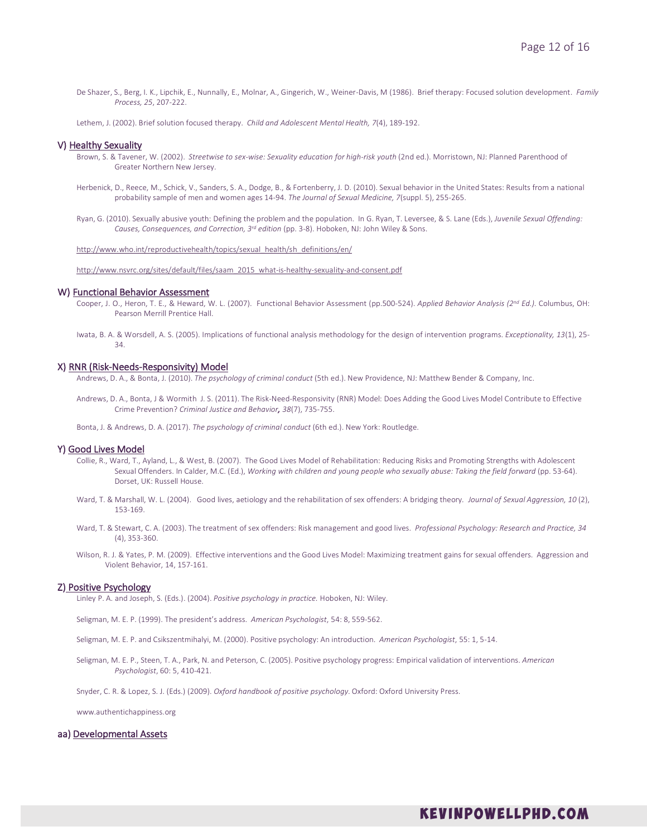De Shazer, S., Berg, I. K., Lipchik, E., Nunnally, E., Molnar, A., Gingerich, W., Weiner-Davis, M (1986). Brief therapy: Focused solution development. *Family Process, 25*, 207-222.

Lethem, J. (2002). Brief solution focused therapy. *Child and Adolescent Mental Health, 7*(4), 189-192.

# V) Healthy Sexuality

- Brown, S. & Tavener, W. (2002). *Streetwise to sex-wise: Sexuality education for high-risk youth* (2nd ed.). Morristown, NJ: Planned Parenthood of Greater Northern New Jersey.
- Herbenick, D., Reece, M., Schick, V., Sanders, S. A., Dodge, B., & Fortenberry, J. D. (2010). Sexual behavior in the United States: Results from a national probability sample of men and women ages 14-94. *The Journal of Sexual Medicine, 7*(suppl. 5), 255-265.
- Ryan, G. (2010). Sexually abusive youth: Defining the problem and the population. In G. Ryan, T. Leversee, & S. Lane (Eds.), *Juvenile Sexual Offending: Causes, Consequences, and Correction, 3rd edition* (pp. 3-8). Hoboken, NJ: John Wiley & Sons.

http://www.who.int/reproductivehealth/topics/sexual\_health/sh\_definitions/en/

http://www.nsvrc.org/sites/default/files/saam\_2015\_what-is-healthy-sexuality-and-consent.pdf

# W) Functional Behavior Assessment

Cooper, J. O., Heron, T. E., & Heward, W. L. (2007). Functional Behavior Assessment (pp.500-524). *Applied Behavior Analysis (2nd Ed.).* Columbus, OH: Pearson Merrill Prentice Hall.

Iwata, B. A. & Worsdell, A. S. (2005). Implications of functional analysis methodology for the design of intervention programs. *Exceptionality, 13*(1), 25- 34.

#### X) RNR (Risk-Needs-Responsivity) Model

Andrews, D. A., & Bonta, J. (2010). *The psychology of criminal conduct* (5th ed.). New Providence, NJ: Matthew Bender & Company, Inc.

Andrews, D. A., Bonta, J & Wormith J. S. (2011). The Risk-Need-Responsivity (RNR) Model: Does Adding the Good Lives Model Contribute to Effective Crime Prevention? *Criminal Justice and Behavior, 38*(7), 735-755.

Bonta, J. & Andrews, D. A. (2017). *The psychology of criminal conduct* (6th ed.). New York: Routledge.

# Y) Good Lives Model

- Collie, R., Ward, T., Ayland, L., & West, B. (2007). The Good Lives Model of Rehabilitation: Reducing Risks and Promoting Strengths with Adolescent Sexual Offenders. In Calder, M.C. (Ed.), *Working with children and young people who sexually abuse: Taking the field forward* (pp. 53-64). Dorset, UK: Russell House.
- Ward, T. & Marshall, W. L. (2004). Good lives, aetiology and the rehabilitation of sex offenders: A bridging theory*. Journal of Sexual Aggression, 10* (2), 153-169.
- Ward, T. & Stewart, C. A. (2003). The treatment of sex offenders: Risk management and good lives. *Professional Psychology: Research and Practice, 34*  (4), 353-360.
- Wilson, R. J. & Yates, P. M. (2009). Effective interventions and the Good Lives Model: Maximizing treatment gains for sexual offenders. Aggression and Violent Behavior, 14, 157-161.

## Z) Positive Psychology

Linley P. A. and Joseph, S. (Eds.). (2004). *Positive psychology in practice.* Hoboken, NJ: Wiley.

- Seligman, M. E. P. (1999). The president's address. *American Psychologist*, 54: 8, 559-562.
- Seligman, M. E. P. and Csikszentmihalyi, M. (2000). Positive psychology: An introduction. *American Psychologist*, 55: 1, 5-14.
- Seligman, M. E. P., Steen, T. A., Park, N. and Peterson, C. (2005). Positive psychology progress: Empirical validation of interventions. *American Psychologist*, 60: 5, 410-421.

Snyder, C. R. & Lopez, S. J. (Eds.) (2009). *Oxford handbook of positive psychology*. Oxford: Oxford University Press.

www.authentichappiness.org

# aa) Developmental Assets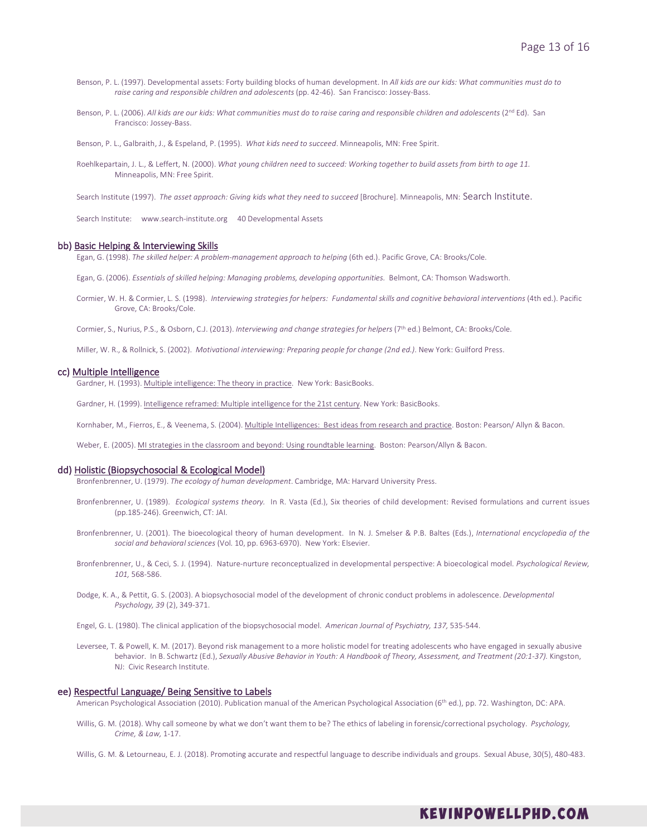- Benson, P. L. (1997). Developmental assets: Forty building blocks of human development. In *All kids are our kids: What communities must do to raise caring and responsible children and adolescents* (pp. 42-46). San Francisco: Jossey-Bass.
- Benson, P. L. (2006). All kids are our kids: What communities must do to raise caring and responsible children and adolescents (2<sup>nd</sup> Ed). San Francisco: Jossey-Bass.

Benson, P. L., Galbraith, J., & Espeland, P. (1995). *What kids need to succeed*. Minneapolis, MN: Free Spirit.

Roehlkepartain, J. L., & Leffert, N. (2000). *What young children need to succeed: Working together to build assets from birth to age 11.* Minneapolis, MN: Free Spirit.

Search Institute (1997). *The asset approach: Giving kids what they need to succeed* [Brochure]. Minneapolis, MN: Search Institute.

Search Institute: www.search-institute.org 40 Developmental Assets

#### bb) Basic Helping & Interviewing Skills

Egan, G. (1998). *The skilled helper: A problem-management approach to helping* (6th ed.). Pacific Grove, CA: Brooks/Cole.

Egan, G. (2006). *Essentials of skilled helping: Managing problems, developing opportunities.* Belmont, CA: Thomson Wadsworth.

Cormier, W. H. & Cormier, L. S. (1998). *Interviewing strategies for helpers: Fundamental skills and cognitive behavioral interventions* (4th ed.). Pacific Grove, CA: Brooks/Cole.

Cormier, S., Nurius, P.S., & Osborn, C.J. (2013). *Interviewing and change strategies for helpers* (7th ed.) Belmont, CA: Brooks/Cole.

Miller, W. R., & Rollnick, S. (2002). *Motivational interviewing: Preparing people for change (2nd ed.)*. New York: Guilford Press.

# cc) Multiple Intelligence

Gardner, H. (1993). Multiple intelligence: The theory in practice. New York: BasicBooks.

Gardner, H. (1999). Intelligence reframed: Multiple intelligence for the 21st century. New York: BasicBooks.

Kornhaber, M., Fierros, E., & Veenema, S. (2004). Multiple Intelligences: Best ideas from research and practice. Boston: Pearson/ Allyn & Bacon.

Weber, E. (2005). MI strategies in the classroom and beyond: Using roundtable learning. Boston: Pearson/Allyn & Bacon.

## dd) Holistic (Biopsychosocial & Ecological Model)

Bronfenbrenner, U. (1979). *The ecology of human development*. Cambridge, MA: Harvard University Press.

- Bronfenbrenner, U. (1989). *Ecological systems theory.* In R. Vasta (Ed.), Six theories of child development: Revised formulations and current issues (pp.185-246). Greenwich, CT: JAI.
- Bronfenbrenner, U. (2001). The bioecological theory of human development. In N. J. Smelser & P.B. Baltes (Eds.), *International encyclopedia of the social and behavioral sciences* (Vol. 10, pp. 6963-6970). New York: Elsevier.
- Bronfenbrenner, U., & Ceci, S. J. (1994). Nature-nurture reconceptualized in developmental perspective: A bioecological model. *Psychological Review, 101,* 568-586.
- Dodge, K. A., & Pettit, G. S. (2003). A biopsychosocial model of the development of chronic conduct problems in adolescence. *Developmental Psychology, 39* (2), 349-371.

Engel, G. L. (1980). The clinical application of the biopsychosocial model. *American Journal of Psychiatry, 137,* 535-544.

Leversee, T. & Powell, K. M. (2017). Beyond risk management to a more holistic model for treating adolescents who have engaged in sexually abusive behavior. In B. Schwartz (Ed.), *Sexually Abusive Behavior in Youth: A Handbook of Theory, Assessment, and Treatment (20:1-37).* Kingston, NJ: Civic Research Institute.

## ee) Respectful Language/ Being Sensitive to Labels

American Psychological Association (2010). Publication manual of the American Psychological Association (6th ed.), pp. 72. Washington, DC: APA.

- Willis, G. M. (2018). Why call someone by what we don't want them to be? The ethics of labeling in forensic/correctional psychology. *Psychology, Crime, & Law,* 1-17.
- Willis, G. M. & Letourneau, E. J. (2018). Promoting accurate and respectful language to describe individuals and groups. Sexual Abuse, 30(5), 480-483.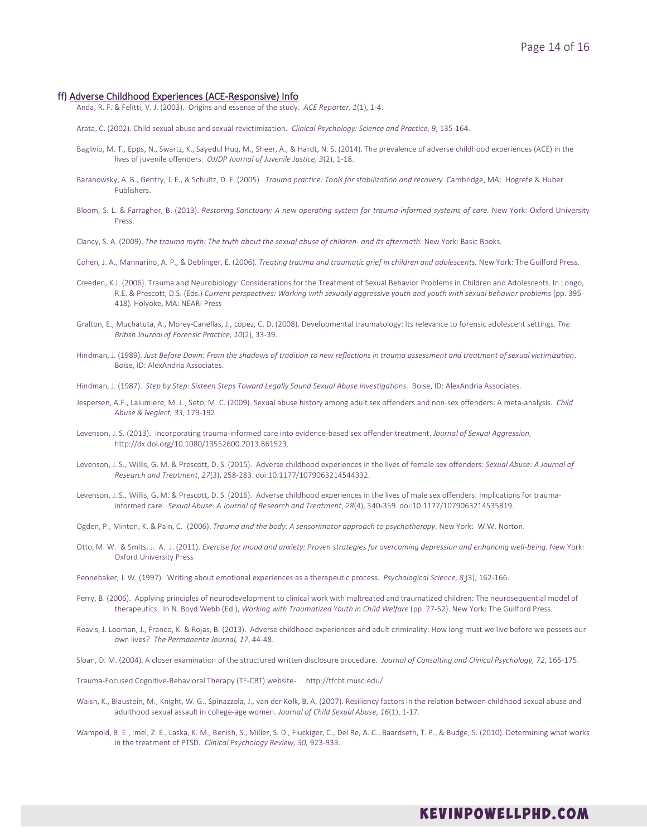#### ff) Adverse Childhood Experiences (ACE-Responsive) Info

Anda, R. F. & Felitti, V. J. (2003). Origins and essense of the study. *ACE Reporter, 1*(1), 1-4.

- Arata, C. (2002). Child sexual abuse and sexual revictimization. *Clinical Psychology: Science and Practice, 9*, 135-164.
- Baglivio, M. T., Epps, N., Swartz, K., Sayedul Huq, M., Sheer, A., & Hardt, N. S. (2014). The prevalence of adverse childhood experiences (ACE) in the lives of juvenile offenders. *OJJDP Journal of Juvenile Justice, 3*(2), 1-18.
- Baranowsky, A. B., Gentry, J. E., & Schultz, D. F. (2005). *Trauma practice: Tools for stabilization and recovery.* Cambridge, MA: Hogrefe & Huber Publishers.
- Bloom, S. L. & Farragher, B. (2013). *Restoring Sanctuary: A new operating system for trauma-informed systems of care.* New York: Oxford University Press.
- Clancy, S. A. (2009). *The trauma myth: The truth about the sexual abuse of children- and its aftermath.* New York: Basic Books.
- Cohen, J. A., Mannarino, A. P., & Deblinger, E. (2006). *Treating trauma and traumatic grief in children and adolescents.* New York: The Guilford Press.
- Creeden, K.J. (2006). Trauma and Neurobiology: Considerations for the Treatment of Sexual Behavior Problems in Children and Adolescents. In Longo, R.E. & Prescott, D.S. (Eds.) *Current perspectives: Working with sexually aggressive youth and youth with sexual behavior problems* (pp. 395- 418)*.* Holyoke, MA: NEARI Press
- Gralton, E., Muchatuta, A., Morey-Canellas, J., Lopez, C. D. (2008). Developmental traumatology: Its relevance to forensic adolescent settings. *The British Journal of Forensic Practice, 10*(2), 33-39.
- Hindman, J. (1989). *Just Before Dawn: From the shadows of tradition to new reflections in trauma assessment and treatment of sexual victimization*. Boise, ID: AlexAndria Associates.
- Hindman, J. (1987). *Step by Step: Sixteen Steps Toward Legally Sound Sexual Abuse Investigations.* Boise, ID: AlexAndria Associates.
- Jespersen, A.F., Lalumiere, M. L., Seto, M. C. (2009). Sexual abuse history among adult sex offenders and non-sex offenders: A meta-analysis. *Child Abuse & Neglect, 33*, 179-192.
- Levenson, J. S. (2013). Incorporating trauma-informed care into evidence-based sex offender treatment. *Journal of Sexual Aggression,*  http://dx.doi.org/10.1080/13552600.2013.861523.
- Levenson, J. S., Willis, G. M. & Prescott, D. S. (2015). Adverse childhood experiences in the lives of female sex offenders: *Sexual Abuse: A Journal of Research and Treatment*, *27*(3), 258-283. doi:10.1177/1079063214544332.
- Levenson, J. S., Willis, G. M. & Prescott, D. S. (2016). Adverse childhood experiences in the lives of male sex offenders: Implications for traumainformed care. *Sexual Abuse: A Journal of Research and Treatment*, *28*(4), 340-359. doi:10.1177/1079063214535819.
- Ogden, P., Minton, K. & Pain, C. (2006). *Trauma and the body: A sensorimotor approach to psychotherapy*. New York: W.W. Norton.
- Otto, M. W. & Smits, J. A. J. (2011). *Exercise for mood and anxiety: Proven strategies for overcoming depression and enhancing well-being.* New York: Oxford University Press
- Pennebaker, J. W. (1997). Writing about emotional experiences as a therapeutic process. *Psychological Science, 8* (3), 162-166.
- Perry, B. (2006). Applying principles of neurodevelopment to clinical work with maltreated and traumatized children: The neurosequential model of therapeutics. In N. Boyd Webb (Ed.), *Working with Traumatized Youth in Child Welfare* (pp. 27-52). New York: The Guilford Press.
- Reavis, J. Looman, J., Franco, K. & Rojas, B. (2013). Adverse childhood experiences and adult criminality: How long must we live before we possess our own lives? *The Permanente Journal, 17*, 44-48.
- Sloan, D. M. (2004). A closer examination of the structured written disclosure procedure. *Journal of Consulting and Clinical Psychology, 72*, 165-175.

Trauma-Focused Cognitive-Behavioral Therapy (TF-CBT) website- http://tfcbt.musc.edu/

- Walsh, K., Blaustein, M., Knight, W. G., Spinazzola, J., van der Kolk, B. A. (2007). Resiliency factors in the relation between childhood sexual abuse and adulthood sexual assault in college-age women*. Journal of Child Sexual Abuse, 16*(1), 1-17.
- Wampold, B. E., Imel, Z. E., Laska, K. M., Benish, S., Miller, S. D., Fluckiger, C., Del Re, A. C., Baardseth, T. P., & Budge, S. (2010). Determining what works in the treatment of PTSD. *Clinical Psychology Review, 30,* 923-933.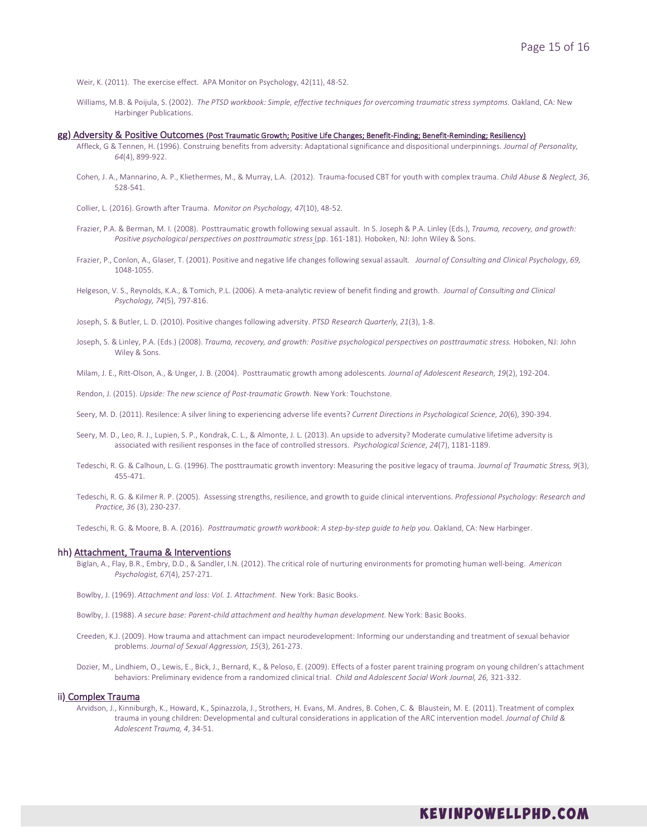Weir, K. (2011). The exercise effect. APA Monitor on Psychology, 42(11), 48-52.

Williams, M.B. & Poijula, S. (2002). The PTSD workbook: Simple, effective techniques for overcoming traumatic stress symptoms. Oakland, CA: New Harbinger Publications.

# gg) Adversity & Positive Outcomes (Post Traumatic Growth; Positive Life Changes; Benefit-Finding; Benefit-Reminding; Resiliency)

- Affleck, G & Tennen, H. (1996). Construing benefits from adversity: Adaptational significance and dispositional underpinnings. *Journal of Personality, 64*(4), 899-922.
- Cohen, J. A., Mannarino, A. P., Kliethermes, M., & Murray, L.A. (2012). Trauma-focused CBT for youth with complex trauma. *Child Abuse & Neglect, 36*, 528-541.
- Collier, L. (2016). Growth after Trauma. *Monitor on Psychology, 47*(10), 48-52.
- Frazier, P.A. & Berman, M. I. (2008). Posttraumatic growth following sexual assault. In S. Joseph & P.A. Linley (Eds.), *Trauma, recovery, and growth: Positive psychological perspectives on posttraumatic stress* (pp. 161-181). Hoboken, NJ: John Wiley & Sons.
- Frazier, P., Conlon, A., Glaser, T. (2001). Positive and negative life changes following sexual assault*. Journal of Consulting and Clinical Psychology, 69,*  1048-1055.
- Helgeson, V. S., Reynolds, K.A., & Tomich, P.L. (2006). A meta-analytic review of benefit finding and growth. *Journal of Consulting and Clinical Psychology, 74*(5), 797-816.

Joseph, S. & Butler, L. D. (2010). Positive changes following adversity. *PTSD Research Quarterly, 21*(3), 1-8.

Joseph, S. & Linley, P.A. (Eds.) (2008). *Trauma, recovery, and growth: Positive psychological perspectives on posttraumatic stress*. Hoboken, NJ: John Wiley & Sons.

Milam, J. E., Ritt-Olson, A., & Unger, J. B. (2004). Posttraumatic growth among adolescents. *Journal of Adolescent Research, 19*(2), 192-204.

Rendon, J. (2015). *Upside: The new science of Post-traumatic Growth.* New York: Touchstone.

Seery, M. D. (2011). Resilence: A silver lining to experiencing adverse life events? *Current Directions in Psychological Science, 20*(6), 390-394.

- Seery, M. D., Leo, R. J., Lupien, S. P., Kondrak, C. L., & Almonte, J. L. (2013). An upside to adversity? Moderate cumulative lifetime adversity is associated with resilient responses in the face of controlled stressors. *Psychological Science, 24*(7), 1181-1189.
- Tedeschi, R. G. & Calhoun, L. G. (1996). The posttraumatic growth inventory: Measuring the positive legacy of trauma. *Journal of Traumatic Stress, 9*(3), 455-471.
- Tedeschi, R. G. & Kilmer R. P. (2005). Assessing strengths, resilience, and growth to guide clinical interventions. *Professional Psychology: Research and Practice, 36* (3), 230-237.

Tedeschi, R. G. & Moore, B. A. (2016). Posttraumatic growth workbook: A step-by-step guide to help you. Oakland, CA: New Harbinger.

## hh) Attachment, Trauma & Interventions

- Biglan, A., Flay, B.R., Embry, D.D., & Sandler, I.N. (2012). The critical role of nurturing environments for promoting human well-being. *American Psychologist, 67*(4), 257-271.
- Bowlby, J. (1969). *Attachment and loss: Vol. 1. Attachment*. New York: Basic Books.
- Bowlby, J. (1988). *A secure base: Parent-child attachment and healthy human development.* New York: Basic Books.
- Creeden, K.J. (2009). How trauma and attachment can impact neurodevelopment: Informing our understanding and treatment of sexual behavior problems. *Journal of Sexual Aggression, 15*(3), 261-273.
- Dozier, M., Lindhiem, O., Lewis, E., Bick, J., Bernard, K., & Peloso, E. (2009). Effects of a foster parent training program on young children's attachment behaviors: Preliminary evidence from a randomized clinical trial. *Child and Adolescent Social Work Journal, 26,* 321-332.

# ii) Complex Trauma

Arvidson, J., Kinniburgh, K., Howard, K., Spinazzola, J., Strothers, H. Evans, M. Andres, B. Cohen, C. & Blaustein, M. E. (2011). Treatment of complex trauma in young children: Developmental and cultural considerations in application of the ARC intervention model. *Journal of Child & Adolescent Trauma, 4*, 34-51.